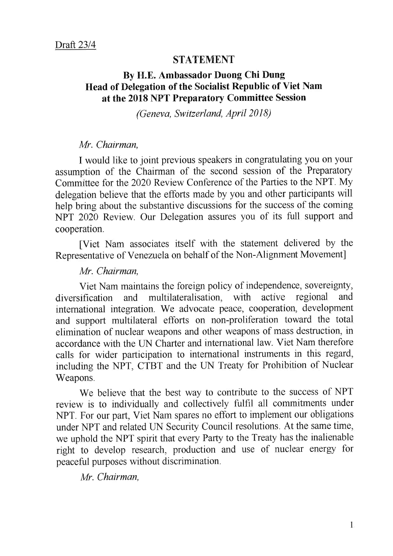## **STATEMENT**

# By H.E. Ambassador Duong Chi Dung Head of Delegation of the Socialist Republic of Viet Nam at the 2018 NPT Preparatory Committee Session

(Geneva, Switzerland, April 2018)

## Mr. Chairman,

I would like to joint previous speakers in congratulating you on your assumption of the Chairman of the second session of the Preparatory Committee for the 2020 Review Conference of the Parties to the NPT. My delegation believe that the efforts made by you and other participants will help bring about the substantive discussions for the success of the coming NPT 2020 Review. Our Delegation assures you of its full support and cooperation.

[Viet Nam associates itself with the statement delivered by the Representative of Venezuela on behalf of the Non-Alignment Movement]

### Mr. Chairman,

Viet Nam maintains the foreign policy of independence, sovereignty, diversification and multilateralisation, with active regional and international integration. We advocate peace, cooperation, development and support multilateral efforts on non-proliferation toward the total elimination of nuclear weapons and other weapons of mass destruction, in accordance with the UN Charter and international law. Viet Nam therefore calls for wider participation to international instruments in this regard, including the NPT, CTBT and the UN Treaty for Prohibition of Nuclear Weapons.

We believe that the best way to contribute to the success of NPT review is to individually and collectively fulfil all commitments under NPT. For our part, Viet Nam spares no effort to implement our obligations under NPT and related UN Security Council resolutions. At the same time, we uphold the NPT spirit that every Party to the Treaty has the inalienable right to develop research, production and use of nuclear energy for peaceful purposes without discrimination.

Mr. Chairman,